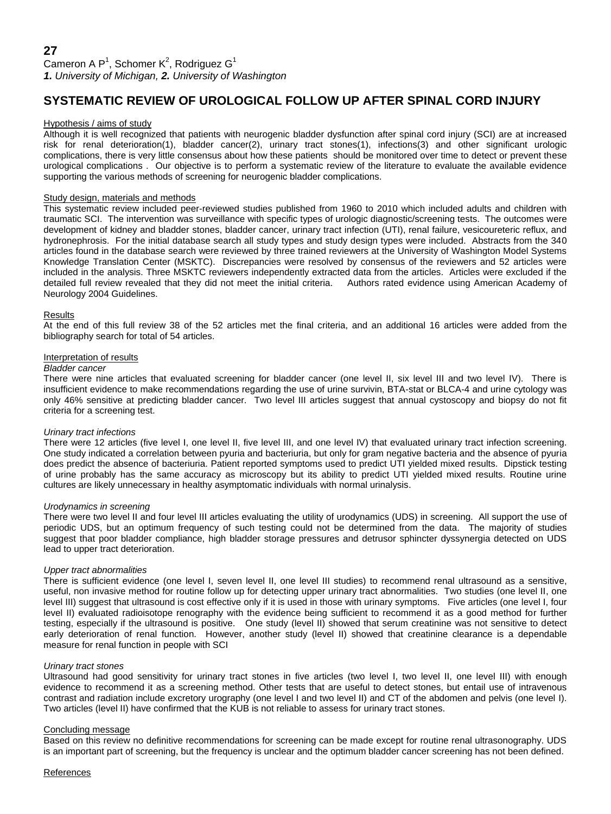# **SYSTEMATIC REVIEW OF UROLOGICAL FOLLOW UP AFTER SPINAL CORD INJURY**

## Hypothesis / aims of study

Although it is well recognized that patients with neurogenic bladder dysfunction after spinal cord injury (SCI) are at increased risk for renal deterioration(1), bladder cancer(2), urinary tract stones(1), infections(3) and other significant urologic complications, there is very little consensus about how these patients should be monitored over time to detect or prevent these urological complications . Our objective is to perform a systematic review of the literature to evaluate the available evidence supporting the various methods of screening for neurogenic bladder complications.

# Study design, materials and methods

This systematic review included peer-reviewed studies published from 1960 to 2010 which included adults and children with traumatic SCI. The intervention was surveillance with specific types of urologic diagnostic/screening tests. The outcomes were development of kidney and bladder stones, bladder cancer, urinary tract infection (UTI), renal failure, vesicoureteric reflux, and hydronephrosis. For the initial database search all study types and study design types were included. Abstracts from the 340 articles found in the database search were reviewed by three trained reviewers at the University of Washington Model Systems Knowledge Translation Center (MSKTC). Discrepancies were resolved by consensus of the reviewers and 52 articles were included in the analysis. Three MSKTC reviewers independently extracted data from the articles. Articles were excluded if the detailed full review revealed that they did not meet the initial criteria. Authors rated evidence using American Academy of Neurology 2004 Guidelines.

## Results

At the end of this full review 38 of the 52 articles met the final criteria, and an additional 16 articles were added from the bibliography search for total of 54 articles.

#### Interpretation of results

#### *Bladder cancer*

There were nine articles that evaluated screening for bladder cancer (one level II, six level III and two level IV). There is insufficient evidence to make recommendations regarding the use of urine survivin, BTA-stat or BLCA-4 and urine cytology was only 46% sensitive at predicting bladder cancer. Two level III articles suggest that annual cystoscopy and biopsy do not fit criteria for a screening test.

#### *Urinary tract infections*

There were 12 articles (five level I, one level II, five level III, and one level IV) that evaluated urinary tract infection screening. One study indicated a correlation between pyuria and bacteriuria, but only for gram negative bacteria and the absence of pyuria does predict the absence of bacteriuria. Patient reported symptoms used to predict UTI yielded mixed results. Dipstick testing of urine probably has the same accuracy as microscopy but its ability to predict UTI yielded mixed results. Routine urine cultures are likely unnecessary in healthy asymptomatic individuals with normal urinalysis.

#### *Urodynamics in screening*

There were two level II and four level III articles evaluating the utility of urodynamics (UDS) in screening. All support the use of periodic UDS, but an optimum frequency of such testing could not be determined from the data. The majority of studies suggest that poor bladder compliance, high bladder storage pressures and detrusor sphincter dyssynergia detected on UDS lead to upper tract deterioration.

## *Upper tract abnormalities*

There is sufficient evidence (one level I, seven level II, one level III studies) to recommend renal ultrasound as a sensitive, useful, non invasive method for routine follow up for detecting upper urinary tract abnormalities. Two studies (one level II, one level III) suggest that ultrasound is cost effective only if it is used in those with urinary symptoms. Five articles (one level I, four level II) evaluated radioisotope renography with the evidence being sufficient to recommend it as a good method for further testing, especially if the ultrasound is positive. One study (level II) showed that serum creatinine was not sensitive to detect early deterioration of renal function. However, another study (level II) showed that creatinine clearance is a dependable measure for renal function in people with SCI

## *Urinary tract stones*

Ultrasound had good sensitivity for urinary tract stones in five articles (two level I, two level II, one level III) with enough evidence to recommend it as a screening method. Other tests that are useful to detect stones, but entail use of intravenous contrast and radiation include excretory urography (one level I and two level II) and CT of the abdomen and pelvis (one level I). Two articles (level II) have confirmed that the KUB is not reliable to assess for urinary tract stones.

#### Concluding message

Based on this review no definitive recommendations for screening can be made except for routine renal ultrasonography. UDS is an important part of screening, but the frequency is unclear and the optimum bladder cancer screening has not been defined.